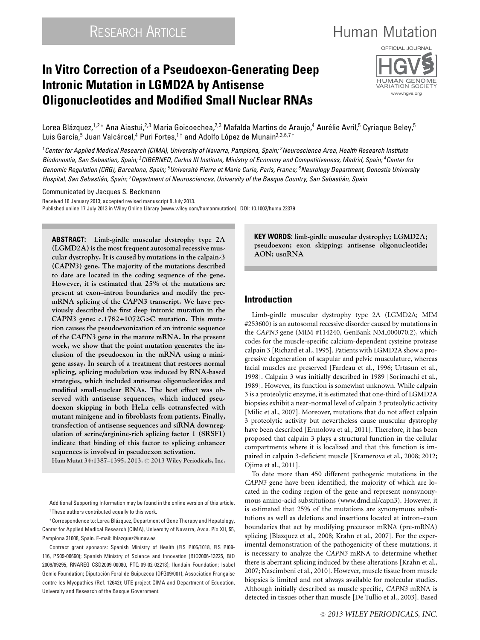# **Human Mutation**

# **In Vitro Correction of a Pseudoexon-Generating Deep Intronic Mutation in LGMD2A by Antisense Oligonucleotides and Modified Small Nuclear RNAs**



Lorea Blázquez,<sup>1,2</sup>\* Ana Aiastui,<sup>2,3</sup> Maria Goicoechea,<sup>2,3</sup> Mafalda Martins de Araujo,<sup>4</sup> Aurélie Avril,<sup>5</sup> Cyriaque Beley,<sup>5</sup> Luis García,<sup>5</sup> Juan Valcárcel,<sup>4</sup> Puri Fortes,<sup>1†</sup> and Adolfo López de Munain<sup>2,3,6,7†</sup>

*1Center for Applied Medical Research (CIMA), University of Navarra, Pamplona, Spain; 2Neuroscience Area, Health Research Institute Biodonostia, San Sebastian, Spain; 3CIBERNED, Carlos III Institute, Ministry of Economy and Competitiveness, Madrid, Spain; 4Center for Genomic Regulation (CRG), Barcelona, Spain; 5Universite Pierre et Marie Curie, Paris, France; ´ 6Neurology Department, Donostia University Hospital, San Sebastian, Spain; ´ 7Department of Neurosciences, University of the Basque Country, San Sebastian, Spain ´*

#### Communicated by Jacques S. Beckmann

Received 16 January 2013; accepted revised manuscript 8 July 2013. Published online 17 July 2013 in Wiley Online Library (www.wiley.com/humanmutation). DOI: 10.1002/humu.22379

**ABSTRACT: Limb-girdle muscular dystrophy type 2A (LGMD2A) is the most frequent autosomal recessive muscular dystrophy. It is caused by mutations in the calpain-3 (***CAPN3***) gene. The majority of the mutations described to date are located in the coding sequence of the gene. However, it is estimated that 25% of the mutations are present at exon–intron boundaries and modify the premRNA splicing of the** *CAPN3* **transcript. We have previously described the first deep intronic mutation in the** *CAPN3* **gene: c.1782+1072G>C mutation. This mutation causes the pseudoexonization of an intronic sequence of the** *CAPN3* **gene in the mature mRNA. In the present work, we show that the point mutation generates the inclusion of the pseudoexon in the mRNA using a minigene assay. In search of a treatment that restores normal splicing, splicing modulation was induced by RNA-based strategies, which included antisense oligonucleotides and modified small-nuclear RNAs. The best effect was observed with antisense sequences, which induced pseudoexon skipping in both HeLa cells cotransfected with mutant minigene and in fibroblasts from patients. Finally, transfection of antisense sequences and siRNA downregulation of serine/arginine-rich splicing factor 1 (SRSF1) indicate that binding of this factor to splicing enhancer sequences is involved in pseudoexon activation.**

**Hum Mutat 34:1387–1395, 2013.** <sup>C</sup> **2013 Wiley Periodicals, Inc.**

Additional Supporting Information may be found in the online version of this article. †These authors contributed equally to this work.

∗Correspondence to: Lorea Blazquez, Department of Gene Therapy and Hepatology, ´ Center for Applied Medical Research (CIMA), University of Navarra, Avda. Pio XII, 55, Pamplona 31008, Spain. E-mail: lblazquez@unav.es

Contract grant sponsors: Spanish Ministry of Health (FIS PI06/1018, FIS PI09- 116, PS09-00660); Spanish Ministry of Science and Innovation (BIO2006-13225, BIO 2009/09295, RNAREG CSD2009-00080, PTQ-09-02-02213); Ilundain Foundation; Isabel Gemio Foundation; Diputación Foral de Guipuzcoa (DFG09/001); Association Francaise contre les Myopathies (Ref. 12642); UTE project CIMA and Department of Education, University and Research of the Basque Government.

**KEY WORDS: limb-girdle muscular dystrophy; LGMD2A; pseudoexon; exon skipping; antisense oligonucleotide; AON; usnRNA**

## **Introduction**

Limb-girdle muscular dystrophy type 2A (LGMD2A; MIM #253600) is an autosomal recessive disorder caused by mutations in the *CAPN3* gene (MIM #114240, GenBank NM<sub>-000070.2), which</sub> codes for the muscle-specific calcium-dependent cysteine protease calpain 3 [Richard et al., 1995]. Patients with LGMD2A show a progressive degeneration of scapular and pelvic musculature, whereas facial muscles are preserved [Fardeau et al., 1996; Urtasun et al., 1998]. Calpain 3 was initially described in 1989 [Sorimachi et al., 1989]. However, its function is somewhat unknown. While calpain 3 is a proteolytic enzyme, it is estimated that one-third of LGMD2A biopsies exhibit a near-normal level of calpain 3 proteolytic activity [Milic et al., 2007]. Moreover, mutations that do not affect calpain 3 proteolytic activity but nevertheless cause muscular dystrophy have been described [Ermolova et al., 2011]. Therefore, it has been proposed that calpain 3 plays a structural function in the cellular compartments where it is localized and that this function is impaired in calpain 3-deficient muscle [Kramerova et al., 2008; 2012; Ojima et al., 2011].

To date more than 450 different pathogenic mutations in the *CAPN3* gene have been identified, the majority of which are located in the coding region of the gene and represent nonsynonymous amino-acid substitutions (www.dmd.nl/capn3). However, it is estimated that 25% of the mutations are synonymous substitutions as well as deletions and insertions located at intron–exon boundaries that act by modifying precursor mRNA (pre-mRNA) splicing [Blazquez et al., 2008; Krahn et al., 2007]. For the experimental demonstration of the pathogenicity of these mutations, it is necessary to analyze the *CAPN3* mRNA to determine whether there is aberrant splicing induced by these alterations [Krahn et al., 2007; Nascimbeni et al., 2010]. However, muscle tissue from muscle biopsies is limited and not always available for molecular studies. Although initially described as muscle specific, *CAPN3* mRNA is detected in tissues other than muscle [De Tullio et al., 2003]. Based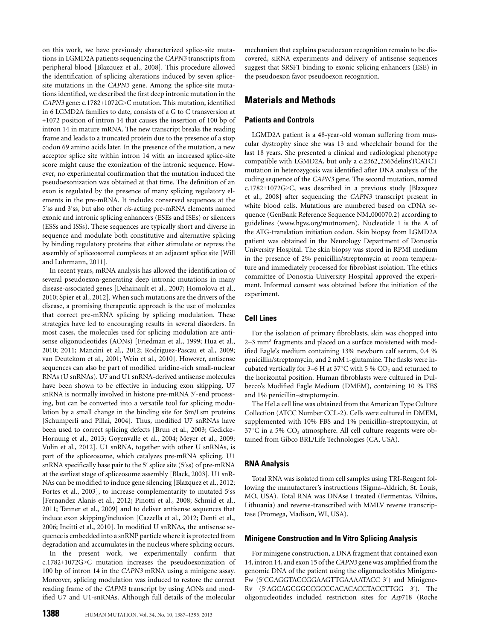on this work, we have previously characterized splice-site mutations in LGMD2A patients sequencing the *CAPN3* transcripts from peripheral blood [Blazquez et al., 2008]. This procedure allowed the identification of splicing alterations induced by seven splicesite mutations in the *CAPN3* gene. Among the splice-site mutations identified, we described the first deep intronic mutation in the *CAPN3* gene: c.1782+1072G>C mutation. This mutation, identified in 6 LGMD2A families to date, consists of a G to C transversion at +1072 position of intron 14 that causes the insertion of 100 bp of intron 14 in mature mRNA. The new transcript breaks the reading frame and leads to a truncated protein due to the presence of a stop codon 69 amino acids later. In the presence of the mutation, a new acceptor splice site within intron 14 with an increased splice-site score might cause the exonization of the intronic sequence. However, no experimental confirmation that the mutation induced the pseudoexonization was obtained at that time. The definition of an exon is regulated by the presence of many splicing regulatory elements in the pre-mRNA. It includes conserved sequences at the 5 ss and 3 ss, but also other *cis*-acting pre-mRNA elements named exonic and intronic splicing enhancers (ESEs and ISEs) or silencers (ESSs and ISSs). These sequences are typically short and diverse in sequence and modulate both constitutive and alternative splicing by binding regulatory proteins that either stimulate or repress the assembly of spliceosomal complexes at an adjacent splice site [Will and Luhrmann, 2011].

In recent years, mRNA analysis has allowed the identification of several pseudoexon-generating deep intronic mutations in many disease-associated genes [Dehainault et al., 2007; Homolova et al., 2010; Spier et al., 2012]. When such mutations are the drivers of the disease, a promising therapeutic approach is the use of molecules that correct pre-mRNA splicing by splicing modulation. These strategies have led to encouraging results in several disorders. In most cases, the molecules used for splicing modulation are antisense oligonucleotides (AONs) [Friedman et al., 1999; Hua et al., 2010; 2011; Mancini et al., 2012; Rodriguez-Pascau et al., 2009; van Deutekom et al., 2001; Wein et al., 2010]. However, antisense sequences can also be part of modified uridine-rich small-nuclear RNAs (U snRNAs). U7 and U1 snRNA-derived antisense molecules have been shown to be effective in inducing exon skipping. U7 snRNA is normally involved in histone pre-mRNA 3'-end processing, but can be converted into a versatile tool for splicing modulation by a small change in the binding site for Sm/Lsm proteins [Schumperli and Pillai, 2004]. Thus, modified U7 snRNAs have been used to correct splicing defects [Brun et al., 2003; Gedicke-Hornung et al., 2013; Goyenvalle et al., 2004; Meyer et al., 2009; Vulin et al., 2012]. U1 snRNA, together with other U snRNAs, is part of the spliceosome, which catalyzes pre-mRNA splicing. U1 snRNA specifically base pair to the 5' splice site (5'ss) of pre-mRNA at the earliest stage of spliceosome assembly [Black, 2003]. U1 snR-NAs can be modified to induce gene silencing [Blazquez et al., 2012; Fortes et al., 2003], to increase complementarity to mutated 5'ss [Fernandez Alanis et al., 2012; Pinotti et al., 2008; Schmid et al., 2011; Tanner et al., 2009] and to deliver antisense sequences that induce exon skipping/inclusion [Cazzella et al., 2012; Denti et al., 2006; Incitti et al., 2010]. In modified U snRNAs, the antisense sequence is embedded into a snRNP particle where it is protected from degradation and accumulates in the nucleus where splicing occurs.

In the present work, we experimentally confirm that c.1782+1072G>C mutation increases the pseudoexonization of 100 bp of intron 14 in the *CAPN3* mRNA using a minigene assay. Moreover, splicing modulation was induced to restore the correct reading frame of the *CAPN3* transcript by using AONs and modified U7 and U1-snRNAs. Although full details of the molecular

mechanism that explains pseudoexon recognition remain to be discovered, siRNA experiments and delivery of antisense sequences suggest that SRSF1 binding to exonic splicing enhancers (ESE) in the pseudoexon favor pseudoexon recognition.

# **Materials and Methods**

## **Patients and Controls**

LGMD2A patient is a 48-year-old woman suffering from muscular dystrophy since she was 13 and wheelchair bound for the last 18 years. She presented a clinical and radiological phenotype compatible with LGMD2A, but only a c.2362 2363delinsTCATCT mutation in heterozygosis was identified after DNA analysis of the coding sequence of the *CAPN3* gene. The second mutation, named c.1782+1072G>C, was described in a previous study [Blazquez et al., 2008] after sequencing the *CAPN3* transcript present in white blood cells. Mutations are numbered based on cDNA sequence (GenBank Reference Sequence NM<sub>-000070.2)</sub> according to guidelines (www.hgvs.org/mutnomen). Nucleotide 1 is the A of the ATG-translation initiation codon. Skin biopsy from LGMD2A patient was obtained in the Neurology Department of Donostia University Hospital. The skin biopsy was stored in RPMI medium in the presence of 2% penicillin/streptomycin at room temperature and immediately processed for fibroblast isolation. The ethics committee of Donostia University Hospital approved the experiment. Informed consent was obtained before the initiation of the experiment.

## **Cell Lines**

For the isolation of primary fibroblasts, skin was chopped into 2–3 mm<sup>3</sup> fragments and placed on a surface moistened with modified Eagle's medium containing 13% newborn calf serum, 0.4 % penicillin/streptomycin, and 2 mM L-glutamine. The flasks were incubated vertically for 3–6 H at  $37^{\circ}$ C with 5 % CO<sub>2</sub> and returned to the horizontal position. Human fibroblasts were cultured in Dulbecco's Modified Eagle Medium (DMEM), containing 10 % FBS and 1% penicillin–streptomycin.

The HeLa cell line was obtained from the American Type Culture Collection (ATCC Number CCL-2). Cells were cultured in DMEM, supplemented with 10% FBS and 1% penicillin–streptomycin, at  $37^{\circ}$ C in a 5%  $CO_2$  atmosphere. All cell culture reagents were obtained from Gibco BRL/Life Technologies (CA, USA).

#### **RNA Analysis**

Total RNA was isolated from cell samples using TRI-Reagent following the manufacturer's instructions (Sigma–Aldrich, St. Louis, MO, USA). Total RNA was DNAse I treated (Fermentas, Vilnius, Lithuania) and reverse-transcribed with MMLV reverse transcriptase (Promega, Madison, WI, USA).

#### **Minigene Construction and In Vitro Splicing Analysis**

For minigene construction, a DNA fragment that contained exon 14, intron 14, and exon 15 of the *CAPN3* gene was amplified from the genomic DNA of the patient using the oligonucleotides Minigene-Fw (5'CGAGGTACCGGAAGTTGAAAATACC 3') and Minigene-Rv (5 AGCAGCGGCCGCCCACACACCTACCTTGG 3 ). The oligonucleotides included restriction sites for *Asp*718 (Roche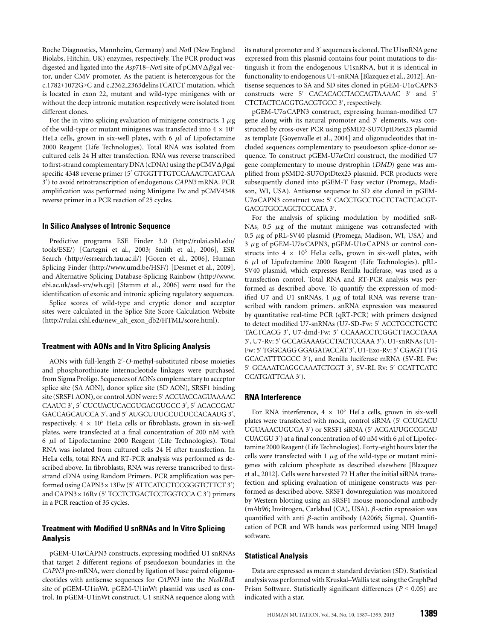Roche Diagnostics, Mannheim, Germany) and *Not*I (New England Biolabs, Hitchin, UK) enzymes, respectively. The PCR product was digested and ligated into the *Asp*718–*Not*I site of pCMV-βgal vector, under CMV promoter. As the patient is heterozygous for the c.1782+1072G>C and c.2362 2363delinsTCATCT mutation, which is located in exon 22, mutant and wild-type minigenes with or without the deep intronic mutation respectively were isolated from different clones.

For the in vitro splicing evaluation of minigene constructs,  $1 \mu$ g of the wild-type or mutant minigenes was transfected into  $4 \times 10^5$ HeLa cells, grown in six-well plates, with 6  $\mu$ l of Lipofectamine 2000 Reagent (Life Technologies). Total RNA was isolated from cultured cells 24 H after transfection. RNA was reverse transcribed to first-strand complementary DNA (cDNA) using the pCMV $\Delta\beta$ gal specific 4348 reverse primer (5' GTGGTTTGTCCAAACTCATCAA 3 ) to avoid retrotranscription of endogenous *CAPN3* mRNA. PCR amplification was performed using Minigene Fw and pCMV4348 reverse primer in a PCR reaction of 25 cycles.

## **In Silico Analyses of Intronic Sequence**

Predictive programs ESE Finder 3.0 (http://rulai.cshl.edu/ tools/ESE/) [Cartegni et al., 2003; Smith et al., 2006], ESR Search (http://esrsearch.tau.ac.il/) [Goren et al., 2006], Human Splicing Finder (http://www.umd.be/HSF/) [Desmet et al., 2009], and Alternative Splicing Database-Splicing Rainbow (http://www. ebi.ac.uk/asd-srv/wb.cgi) [Stamm et al., 2006] were used for the identification of exonic and intronic splicing regulatory sequences.

Splice scores of wild-type and cryptic donor and acceptor sites were calculated in the Splice Site Score Calculation Website (http://rulai.cshl.edu/new\_alt\_exon\_db2/HTML/score.html).

#### **Treatment with AONs and In Vitro Splicing Analysis**

AONs with full-length 2 -*O*-methyl-substituted ribose moieties and phosphorothioate internucleotide linkages were purchased from Sigma Proligo. Sequences of AONs complementary to acceptor splice site (SA AON), donor splice site (SD AON), SRSF1 binding site (SRSF1 AON), or control AON were: 5' ACCUACCAGUAAAAC CAAUC 3 , 5 CUCUACUCACGUGACGUGCC 3 , 5 ACACCGAU GACCAGCAUCCA 3 , and 5 AUGCUUUCCUCUCCACAAUG 3 , respectively.  $4 \times 10^5$  HeLa cells or fibroblasts, grown in six-well plates, were transfected at a final concentration of 200 nM with 6 μl of Lipofectamine 2000 Reagent (Life Technologies). Total RNA was isolated from cultured cells 24 H after transfection. In HeLa cells, total RNA and RT-PCR analysis was performed as described above. In fibroblasts, RNA was reverse transcribed to firststrand cDNA using Random Primers. PCR amplification was performed using CAPN3  $\times$  13Fw (5' ATTCATCCTCCGGGTCTTCT 3') and CAPN3  $\times$  16Rv (5' TCCTCTGACTCCTGGTCCA C 3') primers in a PCR reaction of 35 cycles.

## **Treatment with Modified U snRNAs and In Vitro Splicing Analysis**

pGEM-U1αCAPN3 constructs, expressing modified U1 snRNAs that target 2 different regions of pseudoexon boundaries in the *CAPN3* pre-mRNA, were cloned by ligation of base paired oligonucleotides with antisense sequences for *CAPN3* into the *Nco*I/*Bcl*I site of pGEM-U1inWt. pGEM-U1inWt plasmid was used as control. In pGEM-U1inWt construct, U1 snRNA sequence along with

its natural promoter and 3' sequences is cloned. The U1snRNA gene expressed from this plasmid contains four point mutations to distinguish it from the endogenous U1snRNA, but it is identical in functionality to endogenous U1-snRNA [Blazquez et al., 2012]. Antisense sequences to SA and SD sites cloned in  $pGEM-U1\alpha CAPN3$ constructs were 5' CACACACCTACCAGTAAAAC 3' and 5' CTCTACTCACGTGACGTGCC 3 , respectively.

pGEM-U7αCAPN3 construct, expressing human-modified U7 gene along with its natural promoter and 3' elements, was constructed by cross-over PCR using pSMD2-SU7OptDtex23 plasmid as template [Goyenvalle et al., 2004] and oligonucleotides that included sequences complementary to pseudoexon splice-donor sequence. To construct pGEM-U7 $\alpha$ Ctrl construct, the modified U7 gene complementary to mouse dystrophin (*DMD*) gene was amplified from pSMD2-SU7OptDtex23 plasmid. PCR products were subsequently cloned into pGEM-T Easy vector (Promega, Madison, WI, USA). Antisense sequence to SD site cloned in pGEM-U7αCAPN3 construct was: 5' CACCTGCCTGCTCTACTCACGT-GACGTGCCAGCTCCCATA 3 .

For the analysis of splicing modulation by modified snR-NAs,  $0.5 \mu$ g of the mutant minigene was cotransfected with 0.5  $\mu$ g of pRL-SV40 plasmid (Promega, Madison, WI, USA) and 3 μg of pGEM-U7αCAPN3, pGEM-U1αCAPN3 or control constructs into  $4 \times 10^5$  HeLa cells, grown in six-well plates, with 6 μl of Lipofectamine 2000 Reagent (Life Technologies). pRL-SV40 plasmid, which expresses Renilla luciferase, was used as a transfection control. Total RNA and RT-PCR analysis was performed as described above. To quantify the expression of modified U7 and U1 snRNAs,  $1 \mu$ g of total RNA was reverse transcribed with random primers. snRNA expression was measured by quantitative real-time PCR (qRT-PCR) with primers designed to detect modified U7-snRNAs (U7-SD-Fw: 5' ACCTGCCTGCTC TACTCACG 3 , U7-dmd-Fw: 5 CCAAACCTCGGCTTACCTAAA 3', U7-Rv: 5' GCCAGAAAGCCTACTCCAAA 3'), U1-snRNAs (U1-Fw: 5' TGGCAGG GGAGATACCAT 3', U1-Exo-Rv: 5' CGAGTTTG GCACATTTGGCC 3 ), and Renilla luciferase mRNA (SV-RL Fw: 5' GCAAATCAGGCAAATCTGGT 3', SV-RL Rv: 5' CCATTCATC CCATGATTCAA 3 ).

#### **RNA Interference**

For RNA interference,  $4 \times 10^5$  HeLa cells, grown in six-well plates were transfected with mock, control siRNA (5' CCUGACU UGUAAACUGUGA 3') or SRSF1 siRNA (5' ACGAUUGCCGCAU CUACGU 3') at a final concentration of 40 nM with 6  $\mu$ l of Lipofectamine 2000 Reagent (Life Technologies). Forty-eight hours later the cells were transfected with 1  $\mu$ g of the wild-type or mutant minigenes with calcium phosphate as described elsewhere [Blazquez et al., 2012]. Cells were harvested 72 H after the initial siRNA transfection and splicing evaluation of minigene constructs was performed as described above. SRSF1 downregulation was monitored by Western blotting using an SRSF1 mouse monoclonal antibody (mAb96; Invitrogen, Carlsbad (CA), USA). β-actin expression was quantified with anti β-actin antibody (A2066; Sigma). Quantification of PCR and WB bands was performed using NIH ImageJ software.

#### **Statistical Analysis**

Data are expressed as mean  $\pm$  standard deviation (SD). Statistical analysis was performed with Kruskal–Wallis test using the GraphPad Prism Software. Statistically significant differences (*P* < 0.05) are indicated with a star.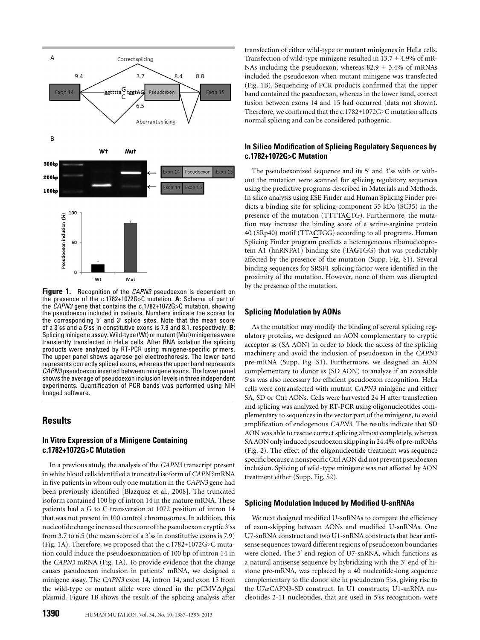

**Figure 1.** Recognition of the *CAPN3* pseudoexon is dependent on the presence of the c.1782+1072G>C mutation. **A:** Scheme of part of the *CAPN3* gene that contains the c.1782+1072G>C mutation, showing the pseudoexon included in patients. Numbers indicate the scores for the corresponding 5' and 3' splice sites. Note that the mean score of a 3'ss and a 5'ss in constitutive exons is 7.9 and 8.1, respectively. **B**: Splicing minigene assay.Wild-type(Wt) or mutant(Mut) minigenes were transiently transfected in HeLa cells. After RNA isolation the splicing products were analyzed by RT-PCR using minigene-specific primers. The upper panel shows agarose gel electrophoresis. The lower band represents correctly spliced exons, whereas the upper band represents *CAPN3* pseudoexon inserted between minigene exons. The lower panel shows the average of pseudoexon inclusion levels in three independent experiments. Quantification of PCR bands was performed using NIH ImageJ software.

## **Results**

## **In Vitro Expression of a Minigene Containing c.1782+1072G>C Mutation**

In a previous study, the analysis of the *CAPN3* transcript present in white blood cells identified a truncated isoform of *CAPN3* mRNA in five patients in whom only one mutation in the *CAPN3* gene had been previously identified [Blazquez et al., 2008]. The truncated isoform contained 100 bp of intron 14 in the mature mRNA. These patients had a G to C transversion at 1072 position of intron 14 that was not present in 100 control chromosomes. In addition, this nucleotide change increased the score of the pseudoexon cryptic 3 ss from 3.7 to 6.5 (the mean score of a 3'ss in constitutive exons is 7.9) (Fig. 1A). Therefore, we proposed that the c.1782+1072G>C mutation could induce the pseudoexonization of 100 bp of intron 14 in the *CAPN3* mRNA (Fig. 1A). To provide evidence that the change causes pseudoexon inclusion in patients' mRNA, we designed a minigene assay. The *CAPN3* exon 14, intron 14, and exon 15 from the wild-type or mutant allele were cloned in the pCMV $\Delta\beta$ gal plasmid. Figure 1B shows the result of the splicing analysis after

transfection of either wild-type or mutant minigenes in HeLa cells. Transfection of wild-type minigene resulted in  $13.7 \pm 4.9\%$  of mR-NAs including the pseudoexon, whereas  $82.9 \pm 3.4\%$  of mRNAs included the pseudoexon when mutant minigene was transfected (Fig. 1B). Sequencing of PCR products confirmed that the upper band contained the pseudoexon, whereas in the lower band, correct fusion between exons 14 and 15 had occurred (data not shown). Therefore, we confirmed that the c.1782+1072G>C mutation affects normal splicing and can be considered pathogenic.

## **In Silico Modification of Splicing Regulatory Sequences by c.1782+1072G>C Mutation**

The pseudoexonized sequence and its  $5'$  and  $3'$ ss with or without the mutation were scanned for splicing regulatory sequences using the predictive programs described in Materials and Methods. In silico analysis using ESE Finder and Human Splicing Finder predicts a binding site for splicing-component 35 kDa (SC35) in the presence of the mutation (TTTTA**C**TG). Furthermore, the mutation may increase the binding score of a serine-arginine protein 40 (SRp40) motif (TTA**C**TGG) according to all programs. Human Splicing Finder program predicts a heterogeneous ribonucleoprotein A1 (hnRNPA1) binding site (TA**G**TGG) that was predictably affected by the presence of the mutation (Supp. Fig. S1). Several binding sequences for SRSF1 splicing factor were identified in the proximity of the mutation. However, none of them was disrupted by the presence of the mutation.

## **Splicing Modulation by AONs**

As the mutation may modify the binding of several splicing regulatory proteins, we designed an AON complementary to cryptic acceptor ss (SA AON) in order to block the access of the splicing machinery and avoid the inclusion of pseudoexon in the *CAPN3* pre-mRNA (Supp. Fig. S1). Furthermore, we designed an AON complementary to donor ss (SD AON) to analyze if an accessible 5 ss was also necessary for efficient pseudoexon recognition. HeLa cells were cotransfected with mutant *CAPN3* minigene and either SA, SD or Ctrl AONs. Cells were harvested 24 H after transfection and splicing was analyzed by RT-PCR using oligonucleotides complementary to sequences in the vector part of the minigene, to avoid amplification of endogenous *CAPN3*. The results indicate that SD AON was able to rescue correct splicing almost completely, whereas SA AON only induced pseudoexon skipping in 24.4% of pre-mRNAs (Fig. 2). The effect of the oligonucleotide treatment was sequence specific because a nonspecific Ctrl AON did not prevent pseudoexon inclusion. Splicing of wild-type minigene was not affected by AON treatment either (Supp. Fig. S2).

#### **Splicing Modulation Induced by Modified U-snRNAs**

We next designed modified U-snRNAs to compare the efficiency of exon-skipping between AONs and modified U-snRNAs. One U7-snRNA construct and two U1-snRNA constructs that bear antisense sequences toward different regions of pseudoexon boundaries were cloned. The 5' end region of U7-snRNA, which functions as a natural antisense sequence by hybridizing with the 3' end of histone pre-mRNA, was replaced by a 40 nucleotide-long sequence complementary to the donor site in pseudoexon 5'ss, giving rise to the U7αCAPN3-SD construct. In U1 constructs, U1-snRNA nucleotides 2-11 nucleotides, that are used in 5 ss recognition, were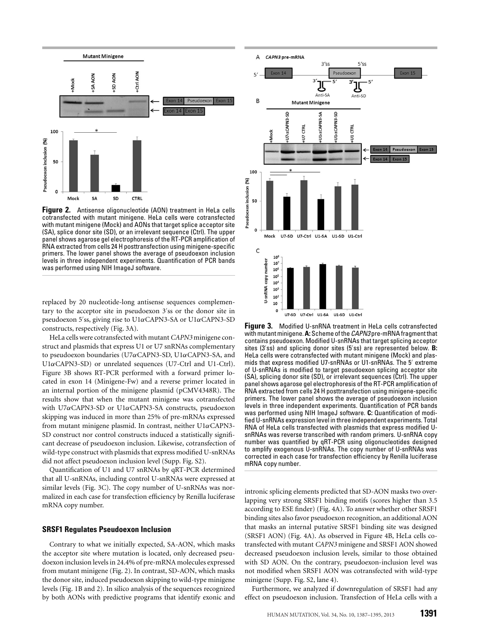

**Figure 2.** Antisense oligonucleotide (AON) treatment in HeLa cells cotransfected with mutant minigene. HeLa cells were cotransfected with mutant minigene (Mock) and AONs that target splice acceptor site (SA), splice donor site (SD), or an irrelevant sequence (Ctrl). The upper panel shows agarose gel electrophoresis of the RT-PCR amplification of RNA extracted from cells 24 H posttransfection using minigene-specific primers. The lower panel shows the average of pseudoexon inclusion levels in three independent experiments. Quantification of PCR bands was performed using NIH ImageJ software.

replaced by 20 nucleotide-long antisense sequences complementary to the acceptor site in pseudoexon 3 ss or the donor site in pseudoexon 5 ss, giving rise to U1αCAPN3-SA or U1αCAPN3-SD constructs, respectively (Fig. 3A).

HeLa cells were cotransfected with mutant *CAPN3* minigene construct and plasmids that express U1 or U7 snRNAs complementary to pseudoexon boundaries (U7αCAPN3-SD, U1αCAPN3-SA, and U1αCAPN3-SD) or unrelated sequences (U7-Ctrl and U1-Ctrl). Figure 3B shows RT-PCR performed with a forward primer located in exon 14 (Minigene-Fw) and a reverse primer located in an internal portion of the minigene plasmid (pCMV4348R). The results show that when the mutant minigene was cotransfected with U7αCAPN3-SD or U1αCAPN3-SA constructs, pseudoexon skipping was induced in more than 25% of pre-mRNAs expressed from mutant minigene plasmid. In contrast, neither U1αCAPN3- SD construct nor control constructs induced a statistically significant decrease of pseudoexon inclusion. Likewise, cotransfection of wild-type construct with plasmids that express modified U-snRNAs did not affect pseudoexon inclusion level (Supp. Fig. S2).

Quantification of U1 and U7 snRNAs by qRT-PCR determined that all U-snRNAs, including control U-snRNAs were expressed at similar levels (Fig. 3C). The copy number of U-snRNAs was normalized in each case for transfection efficiency by Renilla luciferase mRNA copy number.

#### **SRSF1 Regulates Pseudoexon Inclusion**

Contrary to what we initially expected, SA-AON, which masks the acceptor site where mutation is located, only decreased pseudoexon inclusion levels in 24.4% of pre-mRNA molecules expressed from mutant minigene (Fig. 2). In contrast, SD-AON, which masks the donor site, induced pseudoexon skipping to wild-type minigene levels (Fig. 1B and 2). In silico analysis of the sequences recognized by both AONs with predictive programs that identify exonic and



**Figure 3.** Modified U-snRNA treatment in HeLa cells cotransfected with mutant minigene.**A:** Scheme of the *CAPN3* pre-mRNA fragment that contains pseudoexon. Modified U-snRNAs that target splicing acceptor sites (3'ss) and splicing donor sites (5'ss) are represented below. **B**: HeLa cells were cotransfected with mutant minigene (Mock) and plasmids that express modified U7-snRNAs or U1-snRNAs. The 5' extreme of U-snRNAs is modified to target pseudoexon splicing acceptor site (SA), splicing donor site (SD), or irrelevant sequences (Ctrl). The upper panel shows agarose gel electrophoresis of the RT-PCR amplification of RNA extracted from cells 24 H posttransfection using minigene-specific primers. The lower panel shows the average of pseudoexon inclusion levels in three independent experiments. Quantification of PCR bands was performed using NIH ImageJ software. **C:** Quantification of modified U-snRNAs expression level in three independent experiments. Total RNA of HeLa cells transfected with plasmids that express modified UsnRNAs was reverse transcribed with random primers. U-snRNA copy number was quantified by qRT-PCR using oligonucleotides designed to amplify exogenous U-snRNAs. The copy number of U-snRNAs was corrected in each case for transfection efficiency by Renilla luciferase mRNA copy number.

intronic splicing elements predicted that SD-AON masks two overlapping very strong SRSF1 binding motifs (scores higher than 3.5 according to ESE finder) (Fig. 4A). To answer whether other SRSF1 binding sites also favor pseudoexon recognition, an additional AON that masks an internal putative SRSF1 binding site was designed (SRSF1 AON) (Fig. 4A). As observed in Figure 4B, HeLa cells cotransfected with mutant *CAPN3* minigene and SRSF1 AON showed decreased pseudoexon inclusion levels, similar to those obtained with SD AON. On the contrary, pseudoexon-inclusion level was not modified when SRSF1 AON was cotransfected with wild-type minigene (Supp. Fig. S2, lane 4).

Furthermore, we analyzed if downregulation of SRSF1 had any effect on pseudoexon inclusion. Transfection of HeLa cells with a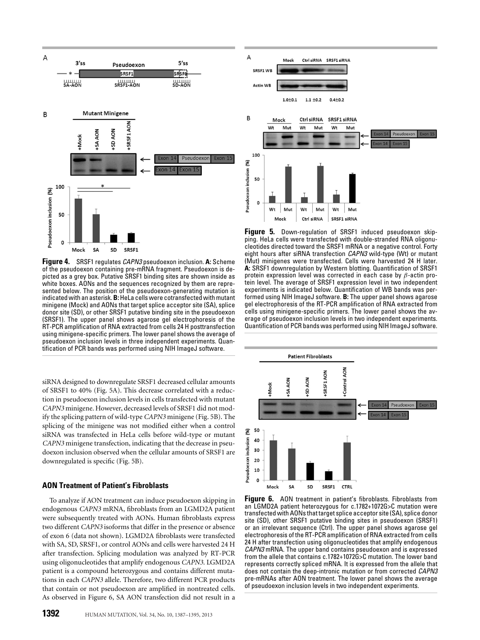

**Figure 4.** SRSF1 regulates *CAPN3* pseudoexon inclusion. **A:** Scheme of the pseudoexon containing pre-mRNA fragment. Pseudoexon is depicted as a grey box. Putative SRSF1 binding sites are shown inside as white boxes. AONs and the sequences recognized by them are represented below. The position of the pseudoexon-generating mutation is indicated with an asterisk.**B:**HeLa cells were cotransfected with mutant minigene (Mock) and AONs that target splice acceptor site (SA), splice donor site (SD), or other SRSF1 putative binding site in the pseudoexon (SRSF1). The upper panel shows agarose gel electrophoresis of the RT-PCR amplification of RNA extracted from cells 24 H posttransfection using minigene-specific primers. The lower panel shows the average of pseudoexon inclusion levels in three independent experiments. Quantification of PCR bands was performed using NIH ImageJ software.

siRNA designed to downregulate SRSF1 decreased cellular amounts of SRSF1 to 40% (Fig. 5A). This decrease correlated with a reduction in pseudoexon inclusion levels in cells transfected with mutant *CAPN3* minigene. However, decreased levels of SRSF1 did not modify the splicing pattern of wild-type *CAPN3* minigene (Fig. 5B). The splicing of the minigene was not modified either when a control siRNA was transfected in HeLa cells before wild-type or mutant *CAPN3* minigene transfection, indicating that the decrease in pseudoexon inclusion observed when the cellular amounts of SRSF1 are downregulated is specific (Fig. 5B).

## **AON Treatment of Patient's Fibroblasts**

To analyze if AON treatment can induce pseudoexon skipping in endogenous *CAPN3* mRNA, fibroblasts from an LGMD2A patient were subsequently treated with AONs. Human fibroblasts express two different *CAPN3* isoforms that differ in the presence or absence of exon 6 (data not shown). LGMD2A fibroblasts were transfected with SA, SD, SRSF1, or control AONs and cells were harvested 24 H after transfection. Splicing modulation was analyzed by RT-PCR using oligonucleotides that amplify endogenous *CAPN3*. LGMD2A patient is a compound heterozygous and contains different mutations in each *CAPN3* allele. Therefore, two different PCR products that contain or not pseudoexon are amplified in nontreated cells. As observed in Figure 6, SA AON transfection did not result in a



**Figure 5.** Down-regulation of SRSF1 induced pseudoexon skipping. HeLa cells were transfected with double-stranded RNA oligonucleotides directed toward the SRSF1 mRNA or a negative control. Forty eight hours after siRNA transfection *CAPN3* wild-type (Wt) or mutant (Mut) minigenes were transfected. Cells were harvested 24 H later. **A:** SRSF1 downregulation by Western blotting. Quantification of SRSF1 protein expression level was corrected in each case by  $\beta$ -actin protein level. The average of SRSF1 expression level in two independent experiments is indicated below. Quantification of WB bands was performed using NIH ImageJ software. **B:** The upper panel shows agarose gel electrophoresis of the RT-PCR amplification of RNA extracted from cells using minigene-specific primers. The lower panel shows the average of pseudoexon inclusion levels in two independent experiments. Quantification of PCR bands was performed using NIH ImageJ software.



**Figure 6.** AON treatment in patient's fibroblasts. Fibroblasts from an LGMD2A patient heterozygous for c.1782+1072G>C mutation were transfected with AONs that target splice acceptor site (SA), splice donor site (SD), other SRSF1 putative binding sites in pseudoexon (SRSF1) or an irrelevant sequence (Ctrl). The upper panel shows agarose gel electrophoresis of the RT-PCR amplification of RNA extracted from cells 24 H after transfection using oligonucleotides that amplify endogenous *CAPN3* mRNA. The upper band contains pseudoexon and is expressed from the allele that contains c.1782+1072G>C mutation. The lower band represents correctly spliced mRNA. It is expressed from the allele that does not contain the deep-intronic mutation or from corrected *CAPN3* pre-mRNAs after AON treatment. The lower panel shows the average of pseudoexon inclusion levels in two independent experiments.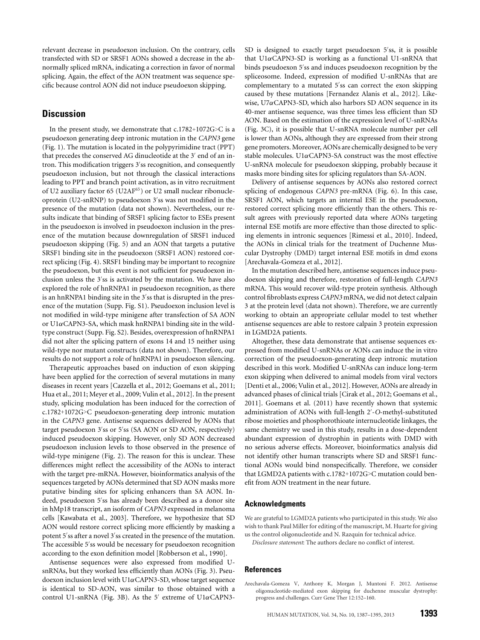relevant decrease in pseudoexon inclusion. On the contrary, cells transfected with SD or SRSF1 AONs showed a decrease in the abnormally spliced mRNA, indicating a correction in favor of normal splicing. Again, the effect of the AON treatment was sequence specific because control AON did not induce pseudoexon skipping.

# **Discussion**

In the present study, we demonstrate that  $c.1782+1072G>C$  is a pseudoexon generating deep intronic mutation in the *CAPN3* gene (Fig. 1). The mutation is located in the polypyrimidine tract (PPT) that precedes the conserved AG dinucleotide at the 3' end of an intron. This modification triggers 3 ss recognition, and consequently pseudoexon inclusion, but not through the classical interactions leading to PPT and branch point activation, as in vitro recruitment of U2 auxiliary factor 65 (U2AF<sup>65</sup>) or U2 small nuclear ribonucleoprotein (U2-snRNP) to pseudoexon 3 ss was not modified in the presence of the mutation (data not shown). Nevertheless, our results indicate that binding of SRSF1 splicing factor to ESEs present in the pseudoexon is involved in pseudoexon inclusion in the presence of the mutation because downregulation of SRSF1 induced pseudoexon skipping (Fig. 5) and an AON that targets a putative SRSF1 binding site in the pseudoexon (SRSF1 AON) restored correct splicing (Fig. 4). SRSF1 binding may be important to recognize the pseudoexon, but this event is not sufficient for pseudoexon inclusion unless the 3 ss is activated by the mutation. We have also explored the role of hnRNPA1 in pseudoexon recognition, as there is an hnRNPA1 binding site in the 3 ss that is disrupted in the presence of the mutation (Supp. Fig. S1). Pseudoexon inclusion level is not modified in wild-type minigene after transfection of SA AON or  $U1\alpha$ CAPN3-SA, which mask hnRNPA1 binding site in the wildtype construct (Supp. Fig. S2). Besides, overexpression of hnRNPA1 did not alter the splicing pattern of exons 14 and 15 neither using wild-type nor mutant constructs (data not shown). Therefore, our results do not support a role of hnRNPA1 in pseudoexon silencing.

Therapeutic approaches based on induction of exon skipping have been applied for the correction of several mutations in many diseases in recent years [Cazzella et al., 2012; Goemans et al., 2011; Hua et al., 2011; Meyer et al., 2009; Vulin et al., 2012]. In the present study, splicing modulation has been induced for the correction of c.1782+1072G>C pseudoexon-generating deep intronic mutation in the *CAPN3* gene. Antisense sequences delivered by AONs that target pseudoexon 3'ss or 5'ss (SA AON or SD AON, respectively) induced pseudoexon skipping. However, only SD AON decreased pseudoexon inclusion levels to those observed in the presence of wild-type minigene (Fig. 2). The reason for this is unclear. These differences might reflect the accessibility of the AONs to interact with the target pre-mRNA. However, bioinformatics analysis of the sequences targeted by AONs determined that SD AON masks more putative binding sites for splicing enhancers than SA AON. Indeed, pseudoexon 5 ss has already been described as a donor site in hMp18 transcript, an isoform of *CAPN3* expressed in melanoma cells [Kawabata et al., 2003]. Therefore, we hypothesize that SD AON would restore correct splicing more efficiently by masking a potent 5'ss after a novel 3'ss created in the presence of the mutation. The accessible 5'ss would be necessary for pseudoexon recognition according to the exon definition model [Robberson et al., 1990].

Antisense sequences were also expressed from modified UsnRNAs, but they worked less efficiently than AONs (Fig. 3). Pseudoexon inclusion level with  $U1\alpha$ CAPN3-SD, whose target sequence is identical to SD-AON, was similar to those obtained with a control U1-snRNA (Fig. 3B). As the 5' extreme of  $U1\alpha$ CAPN3-

SD is designed to exactly target pseudoexon 5'ss, it is possible that  $U1\alpha$ CAPN3-SD is working as a functional U1-snRNA that binds pseudoexon 5 ss and induces pseudoexon recognition by the spliceosome. Indeed, expression of modified U-snRNAs that are complementary to a mutated 5'ss can correct the exon skipping caused by these mutations [Fernandez Alanis et al., 2012]. Likewise,  $U7\alpha$ CAPN3-SD, which also harbors SD AON sequence in its 40-mer antisense sequence, was three times less efficient than SD AON. Based on the estimation of the expression level of U-snRNAs (Fig. 3C), it is possible that U-snRNA molecule number per cell is lower than AONs, although they are expressed from their strong gene promoters. Moreover, AONs are chemically designed to be very stable molecules. U1 $\alpha$ CAPN3-SA construct was the most effective U-snRNA molecule for pseudoexon skipping, probably because it masks more binding sites for splicing regulators than SA-AON.

Delivery of antisense sequences by AONs also restored correct splicing of endogenous *CAPN3* pre-mRNA (Fig. 6). In this case, SRSF1 AON, which targets an internal ESE in the pseudoexon, restored correct splicing more efficiently than the others. This result agrees with previously reported data where AONs targeting internal ESE motifs are more effective than those directed to splicing elements in intronic sequences [Rimessi et al., 2010]. Indeed, the AONs in clinical trials for the treatment of Duchenne Muscular Dystrophy (DMD) target internal ESE motifs in dmd exons [Arechavala-Gomeza et al., 2012].

In the mutation described here, antisense sequences induce pseudoexon skipping and therefore, restoration of full-length *CAPN3* mRNA. This would recover wild-type protein synthesis. Although control fibroblasts express *CAPN3* mRNA, we did not detect calpain 3 at the protein level (data not shown). Therefore, we are currently working to obtain an appropriate cellular model to test whether antisense sequences are able to restore calpain 3 protein expression in LGMD2A patients.

Altogether, these data demonstrate that antisense sequences expressed from modified U-snRNAs or AONs can induce the in vitro correction of the pseudoexon-generating deep intronic mutation described in this work. Modified U-snRNAs can induce long-term exon skipping when delivered to animal models from viral vectors [Denti et al., 2006; Vulin et al., 2012]. However, AONs are already in advanced phases of clinical trials [Cirak et al., 2012; Goemans et al., 2011]. Goemans et al. (2011) have recently shown that systemic administration of AONs with full-length 2 -*O*-methyl-substituted ribose moieties and phosphorothioate internucleotide linkages, the same chemistry we used in this study, results in a dose-dependent abundant expression of dystrophin in patients with DMD with no serious adverse effects. Moreover, bioinformatics analysis did not identify other human transcripts where SD and SRSF1 functional AONs would bind nonspecifically. Therefore, we consider that LGMD2A patients with c.1782+1072G>C mutation could benefit from AON treatment in the near future.

#### **Acknowledgments**

We are grateful to LGMD2A patients who participated in this study. We also wish to thank Paul Miller for editing of the manuscript, M. Huarte for giving us the control oligonucleotide and N. Razquin for technical advice.

*Disclosure statement*: The authors declare no conflict of interest.

### **References**

Arechavala-Gomeza V, Anthony K, Morgan J, Muntoni F. 2012. Antisense oligonucleotide-mediated exon skipping for duchenne muscular dystrophy: progress and challenges. Curr Gene Ther 12:152–160.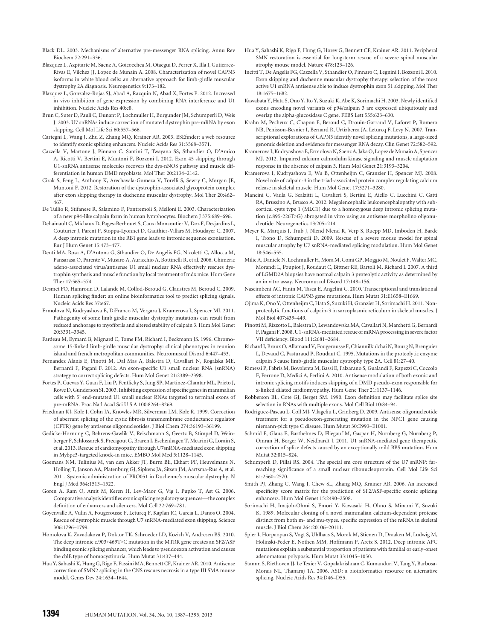- Black DL. 2003. Mechanisms of alternative pre-messenger RNA splicing. Annu Rev Biochem 72:291–336.
- Blazquez L, Azpitarte M, Saenz A, Goicoechea M, Otaegui D, Ferrer X, Illa I, Gutierrez-Rivas E, Vilchez JJ, Lopez de Munain A. 2008. Characterization of novel CAPN3 isoforms in white blood cells: an alternative approach for limb-girdle muscular dystrophy 2A diagnosis. Neurogenetics 9:173–182.
- Blazquez L, Gonzalez-Rojas SJ, Abad A, Razquin N, Abad X, Fortes P. 2012. Increased in vivo inhibition of gene expression by combining RNA interference and U1 inhibition. Nucleic Acids Res 40:e8.
- Brun C, Suter D, Pauli C, Dunant P, Lochmuller H, Burgunder JM, Schumperli D, Weis J. 2003. U7 snRNAs induce correction of mutated dystrophin pre-mRNA by exon skipping. Cell Mol Life Sci 60:557–566.
- Cartegni L, Wang J, Zhu Z, Zhang MQ, Krainer AR. 2003. ESEfinder: a web resource to identify exonic splicing enhancers. Nucleic Acids Res 31:3568–3571.
- Cazzella V, Martone J, Pinnaro C, Santini T, Twayana SS, Sthandier O, D'Amico A, Ricotti V, Bertini E, Muntoni F, Bozzoni I. 2012. Exon 45 skipping through U1-snRNA antisense molecules recovers the dys-nNOS pathway and muscle differentiation in human DMD myoblasts. Mol Ther 20:2134–2142.
- Cirak S, Feng L, Anthony K, Arechavala-Gomeza V, Torelli S, Sewry C, Morgan JE, Muntoni F. 2012. Restoration of the dystrophin-associated glycoprotein complex after exon skipping therapy in duchenne muscular dystrophy. Mol Ther 20:462– 467.
- De Tullio R, Stifanese R, Salamino F, Pontremoli S, Melloni E. 2003. Characterization of a new p94-like calpain form in human lymphocytes. Biochem J 375:689–696.
- Dehainault C, Michaux D, Pages-Berhouet S, Caux-Moncoutier V, Doz F, Desjardins L, Couturier J, Parent P, Stoppa-Lyonnet D, Gauthier-Villars M, Houdayer C. 2007. A deep intronic mutation in the RB1 gene leads to intronic sequence exonisation. Eur J Hum Genet 15:473–477.
- Denti MA, Rosa A, D'Antona G, Sthandier O, De Angelis FG, Nicoletti C, Allocca M, Pansarasa O, Parente V, Musaro A, Auricchio A, Bottinelli R, et al. 2006. Chimeric adeno-associated virus/antisense U1 small nuclear RNA effectively rescues dystrophin synthesis and muscle function by local treatment of mdx mice. Hum Gene Ther 17:565–574.
- Desmet FO, Hamroun D, Lalande M, Collod-Beroud G, Claustres M, Beroud C. 2009. Human splicing finder: an online bioinformatics tool to predict splicing signals. Nucleic Acids Res 37:e67.
- Ermolova N, Kudryashova E, DiFranco M, Vergara J, Kramerova I, Spencer MJ. 2011. Pathogenity of some limb girdle muscular dystrophy mutations can result from reduced anchorage to myofibrils and altered stability of calpain 3. Hum Mol Genet 20:3331–3345.
- Fardeau M, Eymard B, Mignard C, Tome FM, Richard I, Beckmann JS. 1996. Chromosome 15-linked limb-girdle muscular dystrophy: clinical phenotypes in reunion island and french metropolitan communities. Neuromuscul Disord 6:447–453.
- Fernandez Alanis E, Pinotti M, Dal Mas A, Balestra D, Cavallari N, Rogalska ME, Bernardi F, Pagani F. 2012. An exon-specific U1 small nuclear RNA (snRNA) strategy to correct splicing defects. Hum Mol Genet 21:2389–2398.
- Fortes P, Cuevas Y, Guan F, Liu P, Pentlicky S, Jung SP, Martinez-Chantar ML, Prieto J, Rowe D, Gunderson SI. 2003. Inhibiting expression of specific genes in mammalian cells with 5' end-mutated U1 small nuclear RNAs targeted to terminal exons of pre-mRNA. Proc Natl Acad Sci U S A 100:8264–8269.
- Friedman KJ, Kole J, Cohn JA, Knowles MR, Silverman LM, Kole R. 1999. Correction of aberrant splicing of the cystic fibrosis transmembrane conductance regulator (CFTR) gene by antisense oligonucleotides. J Biol Chem 274:36193–36199.
- Gedicke-Hornung C, Behrens-Gawlik V, Reischmann S, Geertz B, Stimpel D, Weinberger F, Schlossarek S, Precigout G, Braren I, Eschenhagen T, Mearini G, Lorain S, et al. 2013. Rescue of cardiomyopathy through U7snRNA-mediated exon skipping in Mybpc3-targeted knock-in mice. EMBO Mol Med 5:1128–1145.
- Goemans NM, Tulinius M, van den Akker JT, Burm BE, Ekhart PF, Heuvelmans N, Holling T, Janson AA, Platenburg GJ, Sipkens JA, Sitsen JM, Aartsma-Rus A, et al. 2011. Systemic administration of PRO051 in Duchenne's muscular dystrophy. N Engl J Med 364:1513–1522.
- Goren A, Ram O, Amit M, Keren H, Lev-Maor G, Vig I, Pupko T, Ast G. 2006. Comparative analysisidentifies exonic splicing regulatory sequences—the complex definition of enhancers and silencers. Mol Cell 22:769–781.
- Goyenvalle A, Vulin A, Fougerousse F, Leturcq F, Kaplan JC, Garcia L, Danos O. 2004. Rescue of dystrophic muscle through U7 snRNA-mediated exon skipping. Science 306:1796–1799.
- Homolova K, Zavadakova P, Doktor TK, Schroeder LD, Kozich V, Andresen BS. 2010. The deep intronic c.903+469T>C mutation in the MTRR gene creates an SF2/ASF binding exonic splicing enhancer, which leads to pseudoexon activation and causes the cblE type of homocystinuria. Hum Mutat 31:437–444.
- Hua Y, Sahashi K, Hung G, Rigo F, Passini MA, Bennett CF, Krainer AR. 2010. Antisense correction of SMN2 splicing in the CNS rescues necrosis in a type III SMA mouse model. Genes Dev 24:1634–1644.
- Hua Y, Sahashi K, Rigo F, Hung G, Horev G, Bennett CF, Krainer AR. 2011. Peripheral SMN restoration is essential for long-term rescue of a severe spinal muscular atrophy mouse model. Nature 478:123–126.
- Incitti T, De Angelis FG, Cazzella V, Sthandier O, Pinnaro C, Legnini I, Bozzoni I. 2010. Exon skipping and duchenne muscular dystrophy therapy: selection of the most active U1 snRNA antisense able to induce dystrophin exon 51 skipping. Mol Ther 18:1675–1682.
- Kawabata Y, Hata S, Ono Y, Ito Y, Suzuki K, Abe K, Sorimachi H. 2003. Newly identified exons encoding novel variants of p94/calpain 3 are expressed ubiquitously and overlap the alpha-glucosidase C gene. FEBS Lett 555:623–630.
- Krahn M, Pecheux C, Chapon F, Beroud C, Drouin-Garraud V, Laforet P, Romero NB, Penisson-Besnier I, Bernard R, Urtizberea JA, Leturcq F, Levy N. 2007. Transcriptional explorations of CAPN3 identify novel splicing mutations, a large-sized genomic deletion and evidence for messenger RNA decay. Clin Genet 72:582–592.
- Kramerova I, Kudryashova E, Ermolova N, Saenz A, Jaka O, Lopez de Munain A, Spencer MJ. 2012. Impaired calcium calmodulin kinase signaling and muscle adaptation response in the absence of calpain 3. Hum Mol Genet 21:3193–3204.
- Kramerova I, Kudryashova E, Wu B, Ottenheijm C, Granzier H, Spencer MJ. 2008. Novel role of calpain-3 in the triad-associated protein complex regulating calcium release in skeletal muscle. Hum Mol Genet 17:3271–3280.
- Mancini C, Vaula G, Scalzitti L, Cavalieri S, Bertini E, Aiello C, Lucchini C, Gatti RA, Brussino A, Brusco A. 2012. Megalencephalic leukoencephalopathy with subcortical cysts type 1 (MLC1) due to a homozygous deep intronic splicing mutation (c.895-226T>G) abrogated in vitro using an antisense morpholino oligonucleotide. Neurogenetics 13:205–214.
- Meyer K, Marquis J, Trub J, Nlend Nlend R, Verp S, Ruepp MD, Imboden H, Barde I, Trono D, Schumperli D. 2009. Rescue of a severe mouse model for spinal muscular atrophy by U7 snRNA-mediated splicing modulation. Hum Mol Genet 18:546–555.
- Milic A, Daniele N, Lochmuller H, Mora M, Comi GP, Moggio M, Noulet F, Walter MC, Morandi L, Poupiot J, Roudaut C, Bittner RE, Bartoli M, Richard I. 2007. A third of LGMD2A biopsies have normal calpain 3 proteolytic activity as determined by an in vitro assay. Neuromuscul Disord 17:148–156.
- Nascimbeni AC, Fanin M, Tasca E, Angelini C. 2010. Transcriptional and translational effects of intronic CAPN3 gene mutations. Hum Mutat 31:E1658–E1669.
- Ojima K, Ono Y, Ottenheijm C, Hata S, Suzuki H, Granzier H, Sorimachi H. 2011. Nonproteolytic functions of calpain-3 in sarcoplasmic reticulum in skeletal muscles. J Mol Biol 407:439–449.
- Pinotti M, Rizzotto L, Balestra D, Lewandowska MA, Cavallari N, Marchetti G, Bernardi F, Pagani F. 2008. U1-snRNA-mediated rescue of mRNA processing in severefactor VII deficiency. Blood 111:2681–2684.
- Richard I, Broux O, Allamand V, Fougerousse F, Chiannilkulchai N, Bourg N, Brenguier L, Devaud C, Pasturaud P, Roudaut C. 1995. Mutations in the proteolytic enzyme calpain 3 cause limb-girdle muscular dystrophy type 2A. Cell 81:27–40.
- Rimessi P, Fabris M, Bovolenta M, Bassi E, Falzarano S, Gualandi F, Rapezzi C, Coccolo F, Perrone D, Medici A, Ferlini A. 2010. Antisense modulation of both exonic and intronic splicing motifs induces skipping of a DMD pseudo-exon responsible for x-linked dilated cardiomyopathy. Hum Gene Ther 21:1137–1146.
- Robberson BL, Cote GJ, Berget SM. 1990. Exon definition may facilitate splice site selection in RNAs with multiple exons. Mol Cell Biol 10:84–94.
- Rodriguez-Pascau L, Coll MJ, Vilageliu L, Grinberg D. 2009. Antisense oligonucleotide treatment for a pseudoexon-generating mutation in the NPC1 gene causing niemann-pick type C disease. Hum Mutat 30:E993–E1001.
- Schmid F, Glaus E, Barthelmes D, Fliegauf M, Gaspar H, Nurnberg G, Nurnberg P, Omran H, Berger W, Neidhardt J. 2011. U1 snRNA-mediated gene therapeutic correction of splice defects caused by an exceptionally mild BBS mutation. Hum Mutat 32:815–824.
- Schumperli D, Pillai RS. 2004. The special sm core structure of the U7 snRNP: farreaching significance of a small nuclear ribonucleoprotein. Cell Mol Life Sci 61:2560–2570.
- Smith PJ, Zhang C, Wang J, Chew SL, Zhang MQ, Krainer AR. 2006. An increased specificity score matrix for the prediction of SF2/ASF-specific exonic splicing enhancers. Hum Mol Genet 15:2490–2508.
- Sorimachi H, Imajoh-Ohmi S, Emori Y, Kawasaki H, Ohno S, Minami Y, Suzuki K. 1989. Molecular cloning of a novel mammalian calcium-dependent protease distinct from both m- and mu-types. specific expression of the mRNA in skeletal muscle. J Biol Chem 264:20106–20111.
- Spier I, Horpaopan S, Vogt S, Uhlhaas S, Morak M, Stienen D, Draaken M, Ludwig M, Holinski-Feder E, Nothen MM, Hoffmann P, Aretz S. 2012. Deep intronic APC mutations explain a substantial proportion of patients with familial or early-onset adenomatous polyposis. Hum Mutat 33:1045–1050.
- Stamm S, Riethoven JJ, Le Texier V, Gopalakrishnan C, Kumanduri V, Tang Y, Barbosa-Morais NL, Thanaraj TA. 2006. ASD: a bioinformatics resource on alternative splicing. Nucleic Acids Res 34:D46–D55.